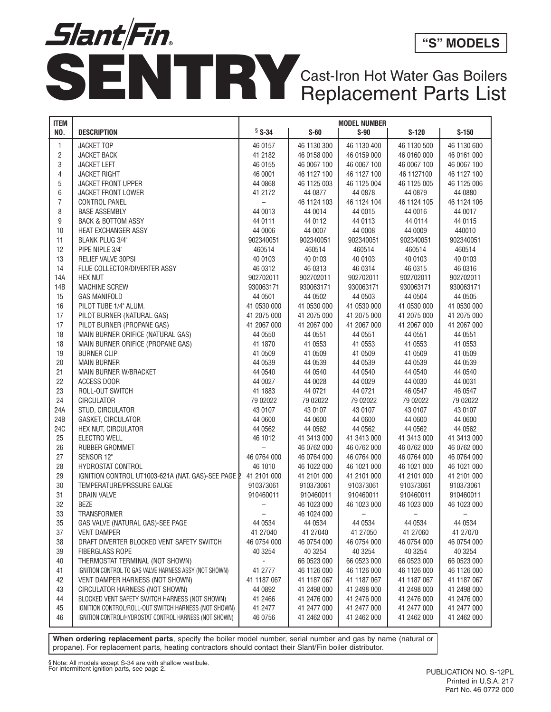

## Cast-Iron Hot Water Gas Boilers

| <b>ITEM</b>     |                                                        | <b>MODEL NUMBER</b>      |             |             |             |             |
|-----------------|--------------------------------------------------------|--------------------------|-------------|-------------|-------------|-------------|
| NO.             | <b>DESCRIPTION</b>                                     | § S-34                   | $S-60$      | $S-90$      | $S-120$     | $S-150$     |
| $\mathbf{1}$    | <b>JACKET TOP</b>                                      | 46 0157                  | 46 1130 300 | 46 1130 400 | 46 1130 500 | 46 1130 600 |
| $\overline{2}$  | <b>JACKET BACK</b>                                     | 41 2182                  | 46 0158 000 | 46 0159 000 | 46 0160 000 | 46 0161 000 |
| 3               | <b>JACKET LEFT</b>                                     | 46 0155                  | 46 0067 100 | 46 0067 100 | 46 0067 100 | 46 0067 100 |
| 4               | <b>JACKET RIGHT</b>                                    | 46 0001                  | 46 1127 100 | 46 1127 100 | 46 1127100  | 46 1127 100 |
| $\sqrt{5}$      | <b>JACKET FRONT UPPER</b>                              | 44 0868                  | 46 1125 003 | 46 1125 004 | 46 1125 005 | 46 1125 006 |
| 6               | <b>JACKET FRONT LOWER</b>                              | 41 2172                  | 44 0877     | 44 0878     | 44 0879     | 44 0880     |
| $\overline{7}$  | <b>CONTROL PANEL</b>                                   | $\qquad \qquad -$        | 46 1124 103 | 46 1124 104 | 46 1124 105 | 46 1124 106 |
| 8               | <b>BASE ASSEMBLY</b>                                   | 44 0013                  | 44 0014     | 44 0015     | 44 0016     | 44 0017     |
| 9               | <b>BACK &amp; BOTTOM ASSY</b>                          | 44 0111                  | 44 0112     | 44 0113     | 44 0114     | 44 0115     |
| 10              | HEAT EXCHANGER ASSY                                    | 44 0006                  | 44 0007     | 44 0008     | 44 0009     | 440010      |
| 11              | <b>BLANK PLUG 3/4"</b>                                 | 902340051                | 902340051   | 902340051   | 902340051   | 902340051   |
| 12              | PIPE NIPLE 3/4"                                        | 460514                   | 460514      | 460514      | 460514      | 460514      |
| 13              | RELIEF VALVE 30PSI                                     | 40 0103                  | 40 0103     | 40 0103     | 40 0103     | 40 0103     |
| 14              | FLUE COLLECTOR/DIVERTER ASSY                           | 46 0312                  | 46 0313     | 46 0314     | 46 0315     | 46 0316     |
| 14A             | <b>HEX NUT</b>                                         | 902702011                | 902702011   | 902702011   | 902702011   | 902702011   |
| 14B             | <b>MACHINE SCREW</b>                                   | 930063171                | 930063171   | 930063171   | 930063171   | 930063171   |
| 15              | <b>GAS MANIFOLD</b>                                    | 44 0501                  | 44 0502     | 44 0503     | 44 0504     | 44 0505     |
| 16              | PILOT TUBE 1/4" ALUM.                                  | 41 0530 000              | 41 0530 000 | 41 0530 000 | 41 0530 000 | 41 0530 000 |
| 17              | PILOT BURNER (NATURAL GAS)                             | 41 2075 000              | 41 2075 000 | 41 2075 000 | 41 2075 000 | 41 2075 000 |
| 17              | PILOT BURNER (PROPANE GAS)                             | 41 2067 000              | 41 2067 000 | 41 2067 000 | 41 2067 000 | 41 2067 000 |
| 18              | MAIN BURNER ORIFICE (NATURAL GAS)                      | 44 0550                  | 44 0551     | 44 0551     | 44 0551     | 44 0551     |
| 18              | MAIN BURNER ORIFICE (PROPANE GAS)                      | 41 1870                  | 41 0553     | 41 0553     | 41 0553     | 41 0553     |
| 19              | <b>BURNER CLIP</b>                                     | 41 0509                  | 41 0509     | 41 0509     | 41 0509     | 41 0509     |
| 20              | <b>MAIN BURNER</b>                                     | 44 0539                  | 44 0539     | 44 0539     | 44 0539     | 44 0539     |
| 21              | MAIN BURNER W/BRACKET                                  | 44 0540                  | 44 0540     | 44 0540     | 44 0540     | 44 0540     |
| 22              | <b>ACCESS DOOR</b>                                     | 44 0027                  | 44 0028     | 44 0029     | 44 0030     | 44 0031     |
| 23              | ROLL-OUT SWITCH                                        | 41 1883                  | 44 0721     | 44 0721     | 46 0547     | 46 0547     |
| 24              | <b>CIRCULATOR</b>                                      | 79 02022                 | 79 02022    | 79 02022    | 79 02022    | 79 02022    |
| 24A             | STUD, CIRCULATOR                                       | 43 0107                  | 43 0107     | 43 0107     | 43 0107     | 43 0107     |
| 24B             | <b>GASKET, CIRCULATOR</b>                              | 44 0600                  | 44 0600     | 44 0600     | 44 0600     | 44 0600     |
| 24 <sub>C</sub> | HEX NUT, CIRCULATOR                                    | 44 0562                  | 44 0562     | 44 0562     | 44 0562     | 44 0562     |
| 25              | ELECTRO WELL                                           | 46 1012                  | 41 3413 000 | 41 3413 000 | 41 3413 000 | 41 3413 000 |
| 26              | RUBBER GROMMET                                         | $\overline{\phantom{0}}$ | 46 0762 000 | 46 0762 000 | 46 0762 000 | 46 0762 000 |
| 27              | SENSOR 12"                                             | 46 0764 000              | 46 0764 000 | 46 0764 000 | 46 0764 000 | 46 0764 000 |
| 28              | HYDROSTAT CONTROL                                      | 46 1010                  | 46 1022 000 | 46 1021 000 | 46 1021 000 | 46 1021 000 |
| 29              | IGNITION CONTROL UT1003-621A (NAT. GAS)-SEE PAGE P     | 41 2101 000              | 41 2101 000 | 41 2101 000 | 41 2101 000 | 41 2101 000 |
| 30              | TEMPERATURE/PRSSURE GAUGE                              | 910373061                | 910373061   | 910373061   | 910373061   | 910373061   |
| 31              | <b>DRAIN VALVE</b>                                     | 910460011                | 910460011   | 910460011   | 910460011   | 910460011   |
| 32              | <b>BEZE</b>                                            |                          | 46 1023 000 | 46 1023 000 | 46 1023 000 | 46 1023 000 |
| 33              | TRANSFORMER                                            |                          | 46 1024 000 |             |             |             |
| 35              | GAS VALVE (NATURAL GAS)-SEE PAGE                       | 44 0534                  | 44 0534     | 44 0534     | 44 0534     | 44 0534     |
| 37              | <b>VENT DAMPER</b>                                     | 41 27040                 | 41 27040    | 41 27050    | 41 27060    | 41 27070    |
| 38              | DRAFT DIVERTER BLOCKED VENT SAFETY SWITCH              | 46 0754 000              | 46 0754 000 | 46 0754 000 | 46 0754 000 | 46 0754 000 |
| 39              | <b>FIBERGLASS ROPE</b>                                 | 40 3254                  | 40 3254     | 40 3254     | 40 3254     | 40 3254     |
| 40              | THERMOSTAT TERMINAL (NOT SHOWN)                        |                          | 66 0523 000 | 66 0523 000 | 66 0523 000 | 66 0523 000 |
| 41              | IGNITION CONTROL TO GAS VALVE HARNESS ASSY (NOT SHOWN) | 41 2777                  | 46 1126 000 | 46 1126 000 | 46 1126 000 | 46 1126 000 |
| 42              | VENT DAMPER HARNESS (NOT SHOWN)                        | 41 1187 067              | 41 1187 067 | 41 1187 067 | 41 1187 067 | 41 1187 067 |
| 43              | CIRCULATOR HARNESS (NOT SHOWN)                         | 44 0892                  | 41 2498 000 | 41 2498 000 | 41 2498 000 | 41 2498 000 |
| 44              | BLOCKED VENT SAFETY SWITCH HARNESS (NOT SHOWN)         | 41 2466                  | 41 2476 000 | 41 2476 000 | 41 2476 000 | 41 2476 000 |
| 45              | IGNITION CONTROL/ROLL-OUT SWITCH HARNESS (NOT SHOWN)   | 41 2477                  | 41 2477 000 | 41 2477 000 | 41 2477 000 | 41 2477 000 |
| 46              | IGNITION CONTROL/HYDROSTAT CONTROL HARNESS (NOT SHOWN) | 46 0756                  | 41 2462 000 | 41 2462 000 | 41 2462 000 | 41 2462 000 |
|                 |                                                        |                          |             |             |             |             |

**When ordering replacement parts**, specify the boiler model number, serial number and gas by name (natural or propane). For replacement parts, heating contractors should contact their Slant/Fin boiler distributor.

§ Note: All models except S-34 are with shallow vestibule.<br>For intermittent ignition parts, see page 2. Public 2. Public states and the state of the PUBLICATION NO. S-12PL